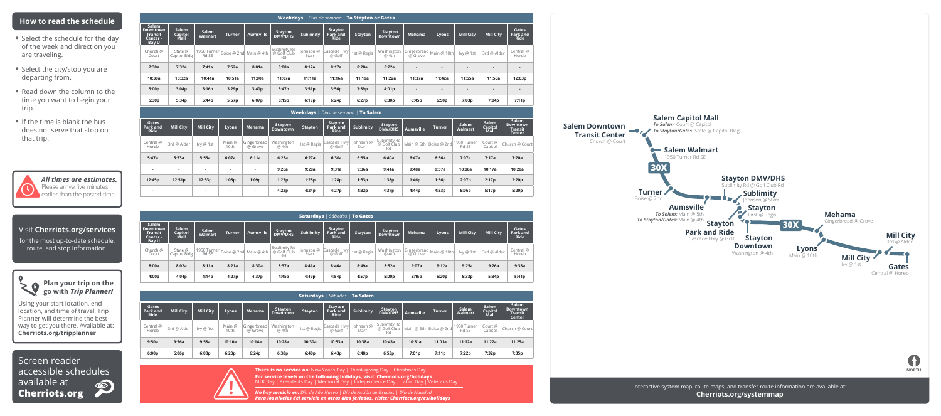### **Salem Downtown Transit Center** Church @ Court



Screen reader accessible schedules available at  $\circledcirc$ **Cherriots.org**

# **How to read the schedule**

- Select the schedule for the day of the week and direction you are traveling.
- Select the city/stop you are departing from.
- Read down the column to the time you want to begin your trip.
- If the time is blank the bus does not serve that stop on that trip.



**There is no service on:** New Year's Day | Thanksgiving Day | Christmas Day **For service levels on the following holidays, visit: Cherriots.org/holidays**  MLK Day | Presidents Day | Memorial Day | Independence Day | Labor Day | Veterans Day

# Visit **Cherriots.org/services**

for the most up-to-date schedule, route, and stop information.



Using your start location, end location, and time of travel, Trip Planner will determine the best way to get you there. Available at: **Cherriots.org/tripplanner**

*All times are estimates.* Please arrive five minutes earlier than the posted time.

| <b>Weekdays</b>   Días de semana   To Stayton or Gates   |                          |                      |                        |                  |                                   |                    |                                           |                |                     |                          |                          |                  |                  |                                  |
|----------------------------------------------------------|--------------------------|----------------------|------------------------|------------------|-----------------------------------|--------------------|-------------------------------------------|----------------|---------------------|--------------------------|--------------------------|------------------|------------------|----------------------------------|
| Salem<br>Downtown<br><b>Transit</b><br>Center -<br>Bay U | Salem<br>Capitol<br>Mall | Salem<br>Walmart     | <b>Turner</b>          | <b>Aumsville</b> | Stayton<br>DMV/DHS                | <b>Sublimity</b>   | <b>Stayton</b><br>Park and<br><b>Ride</b> | <b>Stayton</b> | Stayton<br>Downtown | Mehama                   | Lyons                    | <b>Mill City</b> | <b>Mill City</b> | Gates<br>Park and<br><b>Ride</b> |
| Church @<br>Court                                        | State @<br>Capitol Bldg  | 1950 Turner<br>Rd SE | Boise @ 2nd Main @ 4th |                  | Sublimity Rd<br>@ Golf Club<br>Rd | Johnson @<br>Starr | Cascade Hwy<br>@ Golf                     | 1st @ Regis    | Washington<br>@ 4th | Gingerbread  <br>@ Grove | Main @ 10th              | lvy @ 1st        | 3rd @ Alder      | Central @<br>Horeb               |
| 7:30a                                                    | 7:32a                    | 7:41a                | 7:52a                  | 8:01a            | 8:08a                             | 8:12a              | 8:17a                                     | 8:20a          | 8:22a               |                          | $\overline{\phantom{a}}$ | $\blacksquare$   | $\blacksquare$   | $\overline{a}$                   |
| 10:30a                                                   | 10:32a                   | 10:41a               | 10:51a                 | 11:00a           | 11:07a                            | 11:11a             | 11:16a                                    | 11:19a         | 11:22a              | 11:37a                   | 11:42a                   | 11:55a           | 11:56a           | 12:03p                           |
| 3:00p                                                    | 3:04p                    | 3:16p                | 3:29p                  | 3:40p            | 3:47p                             | 3:51p              | 3:56p                                     | 3:59p          | 4:01p               |                          | $\overline{\phantom{a}}$ | $\blacksquare$   | $\blacksquare$   | $\overline{\phantom{a}}$         |
| 5:30p                                                    | 5:34p                    | 5:44p                | 5:57p                  | 6:07p            | 6:15p                             | 6:19p              | 6:24p                                     | 6:27p          | 6:30p               | 6:45p                    | 6:50p                    | 7:03p            | 7:04p            | 7:11p                            |

*No hay servicio en: Día de Año Nuevo | Día de Acción de Gracias | Día de Navidad Para los niveles del servicio en otros días feriados, visite: Cherriots.org/es/holidays*





|                           |                          |                  |                |                          |                            |                | <b>Weekdays</b>   Días de semana   <b>To Salem</b> |           |                                   |                  |                        |                      |                          |                                                      |
|---------------------------|--------------------------|------------------|----------------|--------------------------|----------------------------|----------------|----------------------------------------------------|-----------|-----------------------------------|------------------|------------------------|----------------------|--------------------------|------------------------------------------------------|
| Gates<br>Park and<br>Ride | <b>Mill City</b>         | <b>Mill City</b> | Lyons          | Mehama                   | Stayton<br><b>Downtown</b> | <b>Stayton</b> | Stayton<br>Park and<br>Ride                        | Sublimity | Stayton<br><b>DMV/DHS</b>         | <b>Aumsville</b> | <b>Turner</b>          | Salem<br>Walmart     | Salem<br>Capitol<br>Mall | Salem<br><b>Downtown</b><br><b>Transit</b><br>Center |
| Central @<br>Horeb        | 3rd @ Alder              | lvy @ 1st        | Main @<br>10th | Gingerbread<br>@ Grove   | Washington<br>@ 4th        | 1st @ Regis    | Cascade Hwy Johnson @<br>@ Golf                    | Starr     | Sublimity Rd<br>@ Golf Club<br>Rd |                  | Main @ 5th Boise @ 2nd | 1950 Turner<br>Rd SE | Court @<br>Capitol       | Church @ Court                                       |
| 5:47a                     | 5:53a                    | 5:55a            | 6:07a          | 6:11a                    | 6:25a                      | 6:27a          | 6:30a                                              | 6:35a     | 6:40a                             | 6:47a            | 6:56a                  | 7:07a                | 7:17a                    | 7:20a                                                |
|                           | $\overline{\phantom{a}}$ | $\blacksquare$   |                | $\overline{\phantom{0}}$ | 9:26a                      | 9:28a          | 9:31a                                              | 9:36a     | 9:41a                             | 9:48a            | 9:57a                  | 10:08a               | 10:17a                   | 10:20a                                               |
| 12:45p                    | 12:51p                   | 12:53p           | 1:05p          | 1:09p                    | 1:23p                      | 1:25p          | 1:28p                                              | 1:33p     | 1:38p                             | 1:46p            | 1:56p                  | 2:07p                | 2:17p                    | 2:20p                                                |
| $\overline{\phantom{a}}$  | . .                      | $\blacksquare$   | $\sim$         |                          | 4:22p                      | 4:24p          | 4:27p                                              | 4:32p     | 4:37p                             | 4:44p            | 4:53p                  | 5:06p                | 5:17p                    | 5:20p                                                |

| <b>Saturdays</b>   Sábados   To Gates                    |                          |                      |               |                        |                                   |                    |                                           |                |                            |                                    |       |                  |                  |                                  |
|----------------------------------------------------------|--------------------------|----------------------|---------------|------------------------|-----------------------------------|--------------------|-------------------------------------------|----------------|----------------------------|------------------------------------|-------|------------------|------------------|----------------------------------|
| Salem<br>Downtown<br>Transit<br>Center -<br><b>Bay U</b> | Salem<br>Capitol<br>Mall | Salem<br>Walmart     | <b>Turner</b> | Aumsville              | Stayton<br><b>DMV/DHS</b>         | <b>Sublimity</b>   | <b>Stayton</b><br>Park and<br><b>Ride</b> | <b>Stayton</b> | Stayton<br><b>Downtown</b> | Mehama                             | Lyons | <b>Mill City</b> | <b>Mill City</b> | Gates<br>Park and<br><b>Ride</b> |
| Church @<br>Court                                        | State @<br>Capitol Bldg  | 1950 Turner<br>Rd SE |               | Boise @ 2nd Main @ 4th | Sublimity Rd<br>@ Golf Club<br>Rd | Johnson @<br>Starr | Cascade Hwy<br>@ Golf                     | 1st @ Regis    | Washington<br>@ 4th        | Gingerbread Main @ 10th<br>@ Grove |       | lvy @ 1st        | 3rd @ Alder      | Central @<br>Horeb               |
| 8:00a                                                    | 8:02a                    | 8:11a                | 8:21a         | 8:30a                  | 8:37a                             | 8:41a              | 8:46a                                     | 8:49a          | 8:52a                      | 9:07a                              | 9:12a | 9:25a            | 9:26a            | 9:33a                            |
| 4:00p                                                    | 4:04p                    | 4:14p                | 4:27p         | 4:37p                  | 4:45p                             | 4:49p              | 4:54p                                     | 4:57p          | 5:00p                      | 5:15p                              | 5:20p | 5:33p            | 5:34p            | 5:41p                            |

| <b>Saturdays</b>   Sábados   To Salem |                  |                  |                |                        |                                   |                |                                           |                                  |                                       |                  |                        |                         |                          |                                                      |
|---------------------------------------|------------------|------------------|----------------|------------------------|-----------------------------------|----------------|-------------------------------------------|----------------------------------|---------------------------------------|------------------|------------------------|-------------------------|--------------------------|------------------------------------------------------|
| Gates<br>Park and<br>Ride             | <b>Mill City</b> | <b>Mill City</b> | Lyons          | Mehama                 | <b>Stayton</b><br><b>Downtown</b> | <b>Stayton</b> | <b>Stayton</b><br>Park and<br><b>Ride</b> | <b>Sublimity</b>                 | <b>Stayton</b><br><b>DMV/DHS</b>      | <b>Aumsville</b> | <b>Turner</b>          | <b>Salem</b><br>Walmart | Salem<br>Capitol<br>Mall | Salem<br><b>Downtown</b><br><b>Transit</b><br>Center |
| Central @<br>Horeb                    | 3rd @ Alder      | lvy @ 1st        | Main @<br>10th | Gingerbread<br>@ Grove | Washington<br>@ 4th               | 1st @ Regis    | @ Golf                                    | Cascade Hwy   Johnson @<br>Starr | Sublimity Rd<br>' @ Golf Ćlub ⊦<br>Rd |                  | Main @ 5th Boise @ 2nd | 1950 Turner<br>Rd SE    | Court @<br>Capitol       | Church @ Court                                       |
| 9:50a                                 | 9:56a            | 9:58a            | 10:10a         | 10:14a                 | 10:28a                            | 10:30a         | 10:33a                                    | 10:38a                           | 10:43a                                | 10:51a           | 11:01a                 | 11:12a                  | 11:22a                   | 11:25a                                               |
| 6:00p                                 | 6:06p            | 6:08p            | 6:20p          | 6:24p                  | 6:38p                             | 6:40p          | 6:43p                                     | 6:48p                            | 6:53p                                 | 7:01p            | 7:11p                  | 7:22p                   | 7:32p                    | 7:35p                                                |